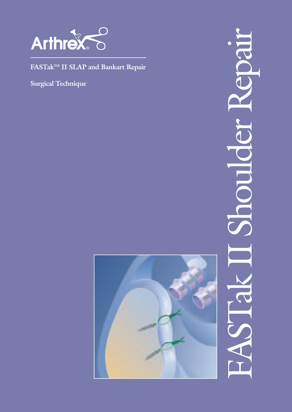

FASTak<sup>TM</sup> II SLAP and Bankart Repair

Surgical Technique



PIFA

reker

**Plucon** 

J<br>A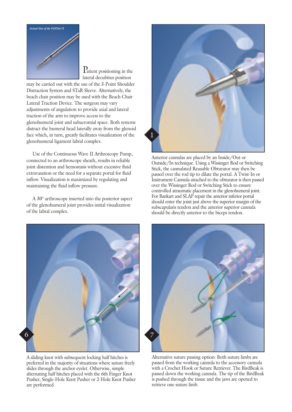

P<sub>atient</sub> positioning in the lateral decubitus position

may be carried out with the use of the 3-Point Shoulder Distraction System and STaR Sleeve. Alternatively, the beach chair position may be used with the Beach Chair Lateral Traction Device. The surgeon may vary adjustments of angulation to provide axial and lateral traction of the arm to improve access to the glenohumeral joint and subacromial space. Both systems distract the humeral head laterally away from the glenoid face which, in turn, greatly facilitates visualization of the glenohumeral ligament labral complex.

Use of the Continuous Wave II Arthroscopy Pump, connected to an arthroscope sheath, results in reliable joint distention and hemostasis without excessive fluid extravasation or the need for a separate portal for fluid inflow. Visualization is maximized by regulating and maintaining the fluid inflow pressure.

A 30° arthroscope inserted into the posterior aspect of the glenohumeral joint provides initial visualization of the labral complex.



A sliding knot with subsequent locking half hitches is preferred in the majority of situations where suture freely slides through the anchor eyelet. Otherwise, simple alternating half hitches placed with the 6th Finger Knot Pusher, Single-Hole Knot Pusher or 2-Hole Knot Pusher are performed.



Anterior cannulas are placed by an Inside/Out or Outside/In technique. Using a Wissinger Rod or Switching Stick, the cannulated Reusable Obturator may then be passed over the rod tip to dilate the portal. A Twist-In or Instrument Cannula attached to the obturator is then passed over the Wissinger Rod or Switching Stick to ensure controlled atraumatic placement in the glenohumeral joint. For Bankart and SLAP repair the anterior inferior portal should enter the joint just above the superior margin of the subscapularis tendon and the anterior superior cannula should be directly anterior to the biceps tendon.



Alternative suture passing option: Both suture limbs are passed from the working cannula to the accessory cannula with a Crochet Hook or Suture Retriever. The BirdBeak is passed down the working cannula. The tip of the BirdBeak is pushed through the tissue and the jaws are opened to retrieve one suture limb.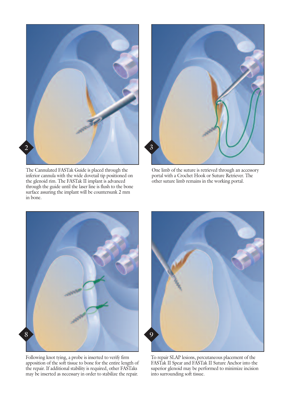

The Cannulated FASTak Guide is placed through the inferior cannula with the wide dovetail tip positioned on the glenoid rim. The FASTak II implant is advanced through the guide until the laser line is flush to the bone surface assuring the implant will be countersunk 2 mm in bone.



One limb of the suture is retrieved through an accessory portal with a Crochet Hook or Suture Retriever. The other suture limb remains in the working portal.



Following knot tying, a probe is inserted to verify firm apposition of the soft tissue to bone for the entire length of the repair. If additional stability is required, other FASTaks may be inserted as necessary in order to stabilize the repair.



To repair SLAP lesions, percutaneous placement of the FASTak II Spear and FASTak II Suture Anchor into the superior glenoid may be performed to minimize incision into surrounding soft tissue.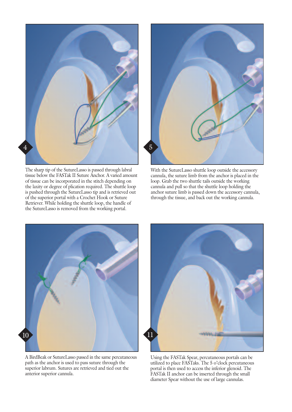

The sharp tip of the SutureLasso is passed through labral tissue below the FASTak II Suture Anchor. A varied amount of tissue can be incorporated in the stitch depending on the laxity or degree of plication required. The shuttle loop is pushed through the SutureLasso tip and is retrieved out of the superior portal with a Crochet Hook or Suture Retriever. While holding the shuttle loop, the handle of the SutureLasso is removed from the working portal.



With the SutureLasso shuttle loop outside the accessory cannula, the suture limb from the anchor is placed in the loop. Grab the two shuttle tails outside the working cannula and pull so that the shuttle loop holding the anchor suture limb is passed down the accessory cannula, through the tissue, and back out the working cannula.



A BirdBeak or SutureLasso passed in the same percutaneous path as the anchor is used to pass suture through the superior labrum. Sutures are retrieved and tied out the anterior superior cannula.



Using the FASTak Spear, percutaneous portals can be utilized to place FASTaks. The 5 o'clock percutaneous portal is then used to access the inferior glenoid. The FASTak II anchor can be inserted through the small diameter Spear without the use of large cannulas.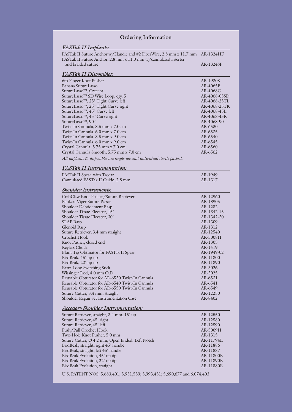| <b>Ordering Information</b>                                                                                                                         |                       |
|-----------------------------------------------------------------------------------------------------------------------------------------------------|-----------------------|
| <b>FASTak II Implants:</b><br>FASTak II Suture Anchor w/Handle and #2 FiberWire, 2.8 mm x 11.7 mm                                                   | AR-1324HF             |
| FASTak II Suture Anchor, 2.8 mm x 11.0 mm w/cannulated inserter<br>and braided suture                                                               | AR-1324SF             |
| <b>FASTak II Disposables:</b>                                                                                                                       |                       |
| 6th Finger Knot Pusher                                                                                                                              | AR-1930S              |
| Banana SutureLasso                                                                                                                                  | AR-4065B              |
| SutureLasso <sup>™</sup> , Crecent                                                                                                                  | AR-4068C              |
| SutureLasso <sup>™</sup> SD Wire Loop, qty. 5                                                                                                       | AR-4068-05SD          |
|                                                                                                                                                     | AR-4068-25TL          |
| SutureLasso <sup>TM</sup> , 25° Tight Curve left<br>SutureLasso <sup>TM</sup> , 25° Tight Curve right<br>SutureLasso <sup>TM</sup> , 45° Curve left | AR-4068-25TR          |
|                                                                                                                                                     | AR-4068-45L           |
| SutureLasso <sup>™</sup> , 45° Curve right                                                                                                          | AR-4068-45R           |
| SutureLasso <sup>™</sup> , 90°                                                                                                                      | AR-4068-90<br>AR-6530 |
| Twist-In Cannula, 8.5 mm x 7.0 cm<br>Twist-In Cannula, 6.0 mm x 7.0 cm                                                                              | AR-6535               |
| Twist-In Cannula, 8.5 mm x 9.0 cm                                                                                                                   | AR-6540               |
| Twist-In Cannula, 6.0 mm x 9.0 cm                                                                                                                   | AR-6545               |
| Crystal Cannula, 5.75 mm x 7.0 cm                                                                                                                   | AR-6560               |
| Crystal Cannula Smooth, 5.75 mm x 7.0 cm                                                                                                            | AR-6562               |
| All implants & disposables are single use and individual sterile packed.                                                                            |                       |
| <b>FASTak II Instrumentation:</b>                                                                                                                   |                       |
| FASTak II Spear, with Trocar                                                                                                                        | AR-1949               |
| Cannulated FASTak II Guide, 2.8 mm                                                                                                                  | AR-1317               |
| <b>Shoulder Instruments:</b>                                                                                                                        |                       |
| CrabClaw Knot Pusher/Suture Retriever                                                                                                               | AR-12960              |
| <b>Bankart Viper Suture Passer</b>                                                                                                                  | AR-13905              |
| Shoulder Debridement Rasp                                                                                                                           | AR-1282               |
| Shoulder Tissue Elevator, 15°                                                                                                                       | AR-1342-15            |
| Shoulder Tissue Elevator, 30°                                                                                                                       | AR-1342-30<br>AR-1309 |
| <b>SLAP</b> Rasp<br>Glenoid Rasp                                                                                                                    | AR-1312               |
| Suture Retriever, 3.4 mm straight                                                                                                                   | AR-12540              |
| Crochet Hook                                                                                                                                        | AR-5008H              |
| Knot Pusher, closed end                                                                                                                             | AR-1305               |
| Keyless Chuck                                                                                                                                       | AR-1419               |
| Blunt Tip Obturator for FASTak II Spear                                                                                                             | AR-1949-02            |
| BirdBeak, 45° up tip                                                                                                                                | AR-11800              |
| BirdBeak, 22° up tip                                                                                                                                | AR-11890              |
| Extra Long Switching Stick                                                                                                                          | AR-3026               |
| Wissinger Rod, 4.0 mm O.D.                                                                                                                          | AR-3025               |
| Reusable Obturator for AR-6530 Twist-In Cannula                                                                                                     | AR-6531               |
| Reusable Obturator for AR-6540 Twist-In Cannula                                                                                                     | AR-6541               |
| Reusable Obturator for AR-6550 Twist-In Cannula                                                                                                     | AR-6549               |
| Suture Cutter, 3.4 mm, straight<br>Shoulder Repair Set Instrumentation Case                                                                         | AR-12250<br>AR-8402   |
| <b>Accessory Shoulder Instrumentation:</b>                                                                                                          |                       |
| Suture Retriever, straight, 3.4 mm, 15° up                                                                                                          | AR-12550              |
| Suture Retriever, 45° right                                                                                                                         | AR-12580              |
| Suture Retriever, 45° left                                                                                                                          | AR-12590              |
| Push/Pull Crochet Hook                                                                                                                              | AR-5009H              |
| Two-Hole Knot Pusher, 5.0 mm                                                                                                                        | AR-1315               |
| Suture Cutter, Ø 4.2 mm, Open Ended, Left Notch                                                                                                     | AR-11794L             |
| BirdBeak, straight, right 45° handle                                                                                                                | AR-11886              |
| BirdBeak, straight, left 45° handle                                                                                                                 | AR-11887              |
| BirdBeak Evolution, 45° up tip                                                                                                                      | AR-11800E             |
| BirdBeak Evolution, 22° up tip                                                                                                                      | AR-11890E             |
| BirdBeak Evolution, straight                                                                                                                        | AR-11880E             |
| U.S. PATENT NOS. 5,683,401; 5,951,559; 5,993,451; 5,690,677 and 6,074,403                                                                           |                       |